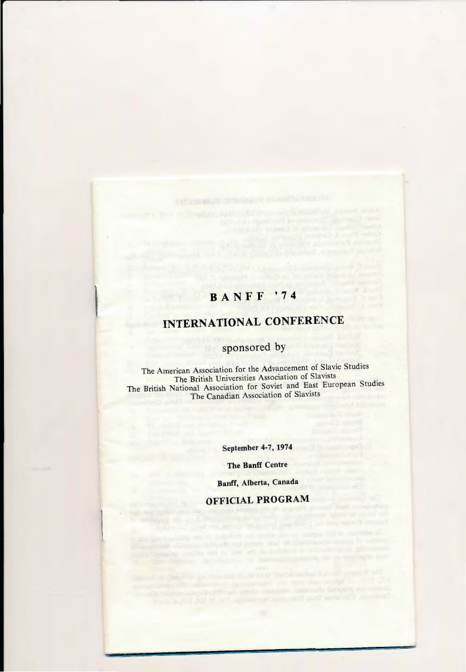# **BANFF '74**

# **INTERNATIONAL CONFERENCE**

# **sponsored by**

The American Association for the Advancement of Slavic Studies The British Universities Association of Slavists The British National Association for Soviet and East European Studies The Canadian Association of Slavists

**September 4-7, 1974** 

**The Banff Centre** 

**Banff, Alberta, Canada** 

# **OFFICIAL PROGRAM**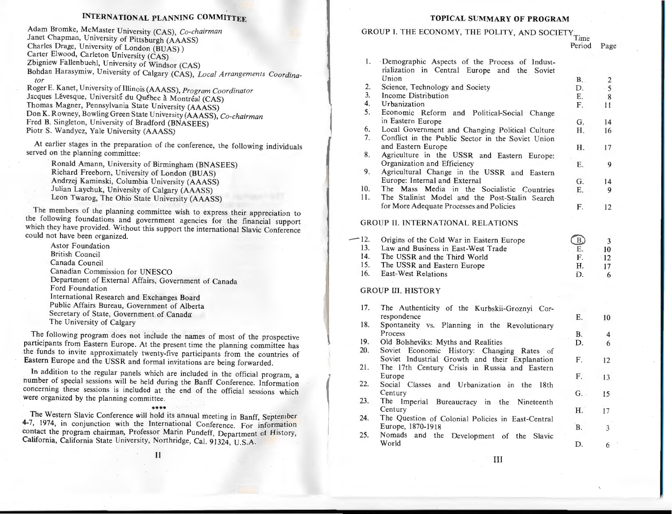#### **INTERNATIONAL PLANNING COMMITTEE**

Adam Bromke, McMaster University (CAS), *Co-chairman* Janet Chapman, University of Pittsburgh (AAASS) Charles Drage, University of London (BUAS)) Carter Elwood, Carleton University (CAS) Zbigniew Fallenbuchl, University of Windsor (CAS) Bohdan Harasymiw, University of Calgary (CAS). *Local Arrangements Coordinator* 

Roger E. Ka net, University of Illinois (AAASS), *Program Coordinator*  Jacques Lévesque, Université du Québec à Montréal (CAS) Thomas Magner, Pennsylvania State University (AAASS) Don K. Rowney, Bowling Green State University (AAASS), *Co-chairman*  Fred B. Singleton, University of Bradford (BNASEES) Piotr S. Wandycz, Yale University (AAASS)

At earlier stages in the preparation of the conference, the following individuals served on the planning committee:

Ronald Amann, University of Birmingham (BNASEES) Richard Freeborn, University of London (BUAS) Andrzej Kaminski, Columbia University (AAASS) Julian Laychuk, University of Calgary (AAASS) Leon Twarog, The Ohio State University (AAASS)

The members of the planning committee wish to express their appreciation to the following foundations and government agencies for the financial support which they have provided. Without this support the international Slavic Conference could not have been organized.

Astor Foundation British Council Canada Council Canadian Commission for UNESCO Department of External Affairs, Government of Canada Ford Foundation International Research and Exchanges Board Public Affairs Bureau, Government of Alberta Secretary of State, Government of Canada' The University of Calgary

The following program does not include the names of most of the prospective participants from Eastern Europe. At the present time the planning committee has the funds to invite approximately twenty-five participants from the countries of Eastern Europe and the USSR and formal invitations are being forwarded.

In addition to the regular panels which are included in the official program, a number of special sessions will be held during the Banff Conference. Information concerning these sessions is included at the end of the official sessions which were organized by the planning committee.

 $\overline{ }$ 

\*\*\*\* The Western Slavic Conference will hold its annual meeting in Banff, September 4-7, I974, in conjunction with the International Conference. For information contact the program chairman, Professor Marin Pundeff, Department of History, California, California State University, Northridge, Cal. 91324, U.S.A.

#### **TOPICAL SUMMARY OF PROGRAM**

# GROUP I. THE ECONOMY, THE POLITY, AND SOCIETY Time

Period Page

| 1.  | Demographic Aspects of the Process of Indust-            |                |                 |
|-----|----------------------------------------------------------|----------------|-----------------|
|     | rialization in Central Europe<br>and the Soviet<br>Union | <b>B.</b>      |                 |
| 2.  | Science, Technology and Society                          | D.             | 2<br>5          |
| 3.  | <b>Income Distribution</b>                               | Ε.             | 8               |
| 4.  | Urbanization                                             | $\mathbf{F}$ . | 11              |
| 5.  | Economic Reform and Political-Social Change              |                |                 |
|     | in Eastern Europe                                        | G.             | 14              |
| 6.  | Local Government and Changing Political Culture          | Η.             | 16              |
| 7.  | Conflict in the Public Sector in the Soviet Union        |                |                 |
|     | and Eastern Europe                                       | Η.             | 17              |
| 8.  | Agriculture in the USSR and Eastern Europe:              |                |                 |
|     | Organization and Efficiency                              | Е.             | 9               |
| 9.  | Agricultural Change in the USSR and Eastern              |                |                 |
|     | Europe: Internal and External                            | G.             | 14              |
| 10. | The Mass Media in the Socialistic Countries              | Ε.             | 9               |
| 11. | The Stalinist Model and the Post-Stalin Search           |                |                 |
|     | for More Adequate Processes and Policies                 | F.             | 12              |
|     | <b>GROUP II. INTERNATIONAL RELATIONS</b>                 |                |                 |
|     |                                                          |                |                 |
| 12. | Origins of the Cold War in Eastern Europe                | B)             | 3               |
| 13. | Law and Business in East-West Trade                      | E.             | 10              |
| 14. | The USSR and the Third World                             | F.             | 12              |
| 15. | The USSR and Eastern Europe                              | Η.             | 17              |
| 16. | <b>East-West Relations</b>                               | D.             | 6               |
|     | <b>GROUP III. HISTORY</b>                                |                |                 |
| 17. | The Authenticity of the Kurbskii-Groznyi Cor-            |                |                 |
|     | respondence                                              | Ε.             | 10              |
| 18. | Spontaneity vs. Planning in the Revolutionary            |                |                 |
|     | Process                                                  | <b>B.</b>      | 4               |
| 19. | Old Bolsheviks: Myths and Realities                      | D.             | 6               |
| 20. | Soviet Economic<br>History:<br>Changing Rates of         |                |                 |
|     | Soviet Industrial Growth and their Explanation           | F.             | 12 <sup>°</sup> |
| 21. | The 17th Century Crisis in Russia and Eastern            |                |                 |
|     | Europe                                                   | F.             | 13              |
| 22. | Social Classes and Urbanization in the<br>18th           |                |                 |
|     | Century                                                  | G.             | 15              |
| 23. | The<br>Imperial<br>Bureaucracy in the Nineteenth         |                |                 |
|     | Century                                                  | Н.             |                 |
| 24. | The Question of Colonial Policies in East-Central        |                | 17              |
|     | Europe, 1870-1918                                        | <b>B.</b>      |                 |
| 25. | Nomads                                                   |                | 3               |
|     | and the Development of the Slavic<br>World               | D.             | 6               |
|     |                                                          |                |                 |

III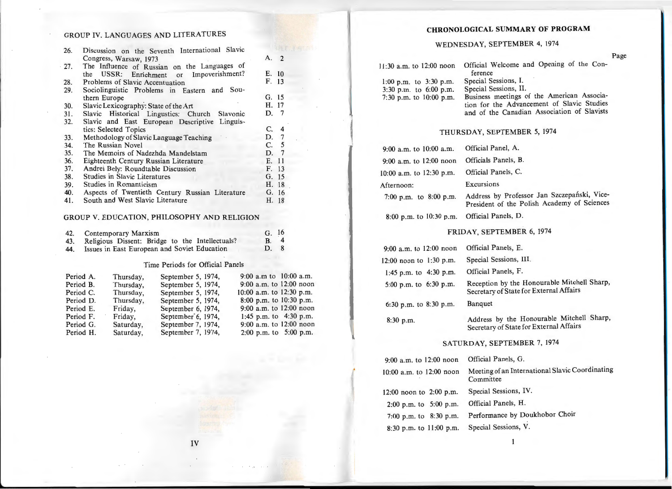### GROUP IV. LANGUAGES AND LITERATURES

| 26. | Discussion on the Seventh International Slavic    |                       |
|-----|---------------------------------------------------|-----------------------|
|     | Congress, Warsaw, 1973                            | А.<br>$\overline{2}$  |
| 27. | The Influence of Russian on the Languages of      |                       |
|     | Impoverishment?<br>the USSR: Enrichment or        | E. 10                 |
| 28. | Problems of Slavic Accentuation                   | F. 13                 |
| 29. | $Sou-$<br>Sociolinguistic Problems in Eastern and |                       |
|     | thern Europe                                      | G. 15                 |
| 30. | Slavic Lexicography: State of the Art             | H. 17                 |
| 31. | Slavic Historical Lingustics: Church Slavonic     | D. 7                  |
| 32. | Slavic and East European Descriptive Linguis-     |                       |
|     | tics: Selected Topics                             | C.<br>$\overline{4}$  |
| 33. | Methodology of Slavic Language Teaching           | D. 7                  |
| 34. | The Russian Novel                                 | C. 5                  |
| 35. | The Memoirs of Nadezhda Mandelstam                | $7\phantom{.0}$<br>D. |
| 36. | Eighteenth Century Russian Literature             | 11<br>Е.              |
| 37. | Andrei Bely: Roundtable Discussion                | F. 13                 |
| 38. | <b>Studies in Slavic Literatures</b>              | G. 15                 |
| 39. | Studies in Romanticism                            | Н.<br>18              |
| 40. | Aspects of Twentieth Century Russian Literature   | G. 16                 |
| 41. | South and West Slavic Literature                  | H. 18                 |

### GROUP V. EDUCATION, PHILOSOPHY AND RELIGION

| 42. | Contemporary Marxism                            | G. 16 |
|-----|-------------------------------------------------|-------|
| 43. | Religious Dissent: Bridge to the Intellectuals? | B. 4  |
| 44. | Issues in East European and Soviet Education    | D. 8  |

### Time Periods for Official Panels

| Period A. | Thursday, | September 5, 1974, | 9:00 a.m to $10:00$ a.m.     |
|-----------|-----------|--------------------|------------------------------|
| Period B. | Thursday, | September 5, 1974, | $9:00$ a.m. to 12:00 noon    |
| Period C. | Thursday, | September 5, 1974, | $10:00$ a.m. to $12:30$ p.m. |
| Period D. | Thursday, | September 5, 1974, | 8:00 p.m. to $10:30$ p.m.    |
| Period E. | Friday,   | September 6, 1974, | 9:00 a.m. to $12:00$ noon    |
| Period F. | Friday,   | September 6, 1974, | 1:45 p.m. to $4:30$ p.m.     |
| Period G. | Saturday, | September 7, 1974, | $9:00$ a.m. to $12:00$ noon  |
| Period H. | Saturday, | September 7, 1974, | 2:00 p.m. to $5:00$ p.m.     |

# **CHRONOLOGICAL SUMMARY OF PROGRAM**

## WEDNESDAY, SEPTEMBER 4, 1974

| 11:30 a.m. to 12:00 noon                                                        | Official Welcome and Opening of the Con-<br>ference                                                                                                                                      |
|---------------------------------------------------------------------------------|------------------------------------------------------------------------------------------------------------------------------------------------------------------------------------------|
| $1:00$ p.m. to $3:30$ p.m.<br>3:30 p.m. to 6:00 p.m.<br>7:30 p.m. to 10:00 p.m. | Special Sessions, I.<br>Special Sessions, II.<br>Business meetings of the American Associa-<br>tion for the Advancement of Slavic Studies<br>and of the Canadian Association of Slavists |

# THURSDAY, SEPTEMBER 5, 1974

| 9:00 a.m. to 10:00 a.m.   | Official Panel, A.                                                                         |
|---------------------------|--------------------------------------------------------------------------------------------|
| $9:00$ a.m. to 12:00 noon | Officials Panels, B.                                                                       |
| 10:00 a.m. to 12:30 p.m.  | Official Panels, C.                                                                        |
| Afternoon:                | Excursions                                                                                 |
| 7:00 p.m. to 8:00 p.m.    | Address by Professor Jan Szczepański, Vice-<br>President of the Polish Academy of Sciences |
|                           |                                                                                            |

8:00 p.m. to 10:30 p.m. Official Panels, D.

### FRIDAY, SEPTEMBER 6, 1974

| $9:00$ a.m. to 12:00 noon | Official Panels, E.                                                                    |
|---------------------------|----------------------------------------------------------------------------------------|
| 12:00 noon to 1:30 p.m.   | Special Sessions, III.                                                                 |
| 1:45 p.m. to 4:30 p.m.    | Official Panels, F.                                                                    |
| 5:00 p.m. to 6:30 p.m.    | Reception by the Honourable Mitchell Sharp,<br>Secretary of State for External Affairs |
| 6:30 p.m. to 8:30 p.m.    | <b>Banquet</b>                                                                         |
| $8:30$ p.m.               | Address by the Honourable Mitchell Sharp,<br>Secretary of State for External Affairs   |

### SATURDAY, SEPTEMBER 7, 1974

| 9:00 a.m. to 12:00 noon     | Official Panels, G.                                          |
|-----------------------------|--------------------------------------------------------------|
| 10:00 a.m. to 12:00 noon    | Meeting of an International Slavic Coordinating<br>Committee |
| $12:00$ noon to $2:00$ p.m. | Special Sessions, IV.                                        |
| 2:00 p.m. to $5:00$ p.m.    | Official Panels, H.                                          |
| 7:00 p.m. to 8:30 p.m.      | Performance by Doukhobor Choir                               |
| 8:30 p.m. to 11:00 p.m.     | Special Sessions, V.                                         |

Page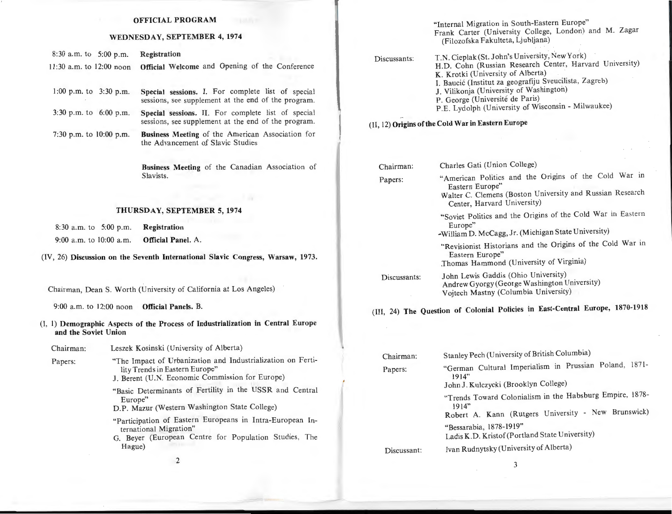#### OFFICIAL PROGRAM

#### WEDNESDAY, SEPTEMBER 4, 1974

| $8:30$ a.m. to $5:00$ p.m. | Registration                                                            |
|----------------------------|-------------------------------------------------------------------------|
|                            | 11:30 a.m. to 12:00 noon Official Welcome and Opening of the Conference |

| 1:00 p.m. to $3:30$ p.m.   | Special sessions. I. For complete list of special<br>sessions, see supplement at the end of the program.  |
|----------------------------|-----------------------------------------------------------------------------------------------------------|
| $3:30$ p.m. to $6:00$ p.m. | Special sessions. II. For complete list of special<br>sessions, see supplement at the end of the program. |

7:30 p.m. to 10:00 p.m. Business Meeting of the American Association for the Advancement of Slavic Studies

> Business Meeting of the Canadian Association of Slavists.

#### THURSDAY, SEPTEMBER 5, 1974

| $8:30$ a.m. to $5:00$ p.m. |  | <b>Registration</b> |
|----------------------------|--|---------------------|
| 9:00 a.m. to $10:00$ a.m.  |  | Official Panel. A.  |

(IV, 26) Discussion on the Seventh International Slavic Congress, Warsaw, 1973.

Chairman, Dean S. Worth (University of California at Los Angeles)

9:00 a.m. to 12:00 noon Official Panels. B.

(I, 1) Demographic Aspects of the Process of Industrialization in Central Europe and the Soviet Union

Chairman: Leszek Kosinski (University of Alberta)

- Papers: "The Impact of Urbanization and Industrialization on Fertility Trends in Eastern Europe" J. Berent (U.N. Economic Commission for Europe)
	-

"Basic Determinants of Fertility in the USSR and Central Europe"

D.P. Mazur (Western Washington State College)

- "Participation of Eastern Europeans in Intra-European International Migration"
- G. Beyer (European Centre for Population Studies, The Hague)

"Internal Migration in South-Eastern Europe" Frank Carter (University College, London) and M. Zagar (Filozofska Fakulteta, Ljubljana)

| T.N. Cieplak (St. John's University, New York)          |
|---------------------------------------------------------|
| H.D. Cohn (Russian Research Center, Harvard University) |
| K. Krotki (University of Alberta)                       |
| I. Baucić (Institut za geografiju Sveucilista, Zagreb)  |
| J. Vilikonja (University of Washington)                 |
| P. George (Université de Paris)                         |
| P.E. Lydolph (University of Wisconsin - Milwaukee)      |
|                                                         |

# (II, 12) Origins of the Cold War in Eastern Europe

| Chairman:    | Charles Gati (Union College)                                                                                                                                         |  |  |
|--------------|----------------------------------------------------------------------------------------------------------------------------------------------------------------------|--|--|
| Papers:      | "American Politics and the Origins of the Cold War in<br>Eastern Europe"<br>Walter C. Clemens (Boston University and Russian Research<br>Center, Harvard University) |  |  |
|              | "Soviet Politics and the Origins of the Cold War in Eastern<br>Europe"<br>-William D. McCagg, Jr. (Michigan State University)                                        |  |  |
|              | "Revisionist Historians and the Origins of the Cold War in<br>Eastern Europe"<br>Thomas Hammond (University of Virginia)                                             |  |  |
| Discussants: | John Lewis Gaddis (Ohio University)<br>Andrew Gyorgy (George Washington University)<br>Vojtech Mastny (Columbia University)                                          |  |  |
|              | (III, 24) The Question of Colonial Policies in East-Central Europe, 1870-1918                                                                                        |  |  |
|              |                                                                                                                                                                      |  |  |
| Chairman:    | Stanley Pech (University of British Columbia)                                                                                                                        |  |  |
| Papers:      | "German Cultural Imperialism in Prussian Poland, 1871-<br>1914"<br>John J. Kulczycki (Brooklyn College)                                                              |  |  |
|              | "Trends Toward Colonialism in the Habsburg Empire, 1878-                                                                                                             |  |  |
|              | 1914"<br>Robert A. Kann (Rutgers University - New Brunswick)                                                                                                         |  |  |
|              | "Bessarabia, 1878-1919"<br>Ladis K.D. Kristof (Portland State University)                                                                                            |  |  |
|              |                                                                                                                                                                      |  |  |

Discussant: Ivan Rudnytsky (University of Alberta)

2

3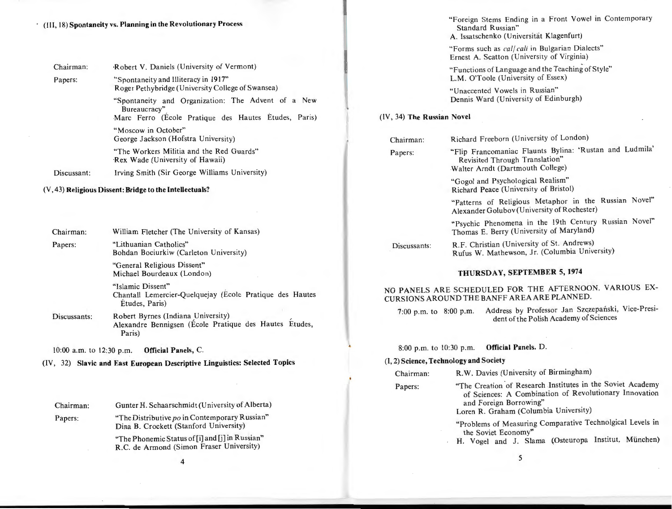|  |  |  | (III, 18) Spontaneity vs. Planning in the Revolutionary Process |  |
|--|--|--|-----------------------------------------------------------------|--|
|--|--|--|-----------------------------------------------------------------|--|

| Chairman:                                                    | Robert V. Daniels (University of Vermont)                                                                                  |  |
|--------------------------------------------------------------|----------------------------------------------------------------------------------------------------------------------------|--|
| Papers:                                                      | "Spontaneity and Illiteracy in 1917"<br>Roger Pethybridge (University College of Swansea)                                  |  |
|                                                              | "Spontaneity and Organization: The Advent of a New<br>Bureaucracy"<br>Marc Ferro (Ecole Pratique des Hautes Etudes, Paris) |  |
|                                                              | "Moscow in October"<br>George Jackson (Hofstra University)                                                                 |  |
|                                                              | "The Workers Militia and the Red Guards"<br>Rex Wade (University of Hawaii)                                                |  |
| Irving Smith (Sir George Williams University)<br>Discussant: |                                                                                                                            |  |

#### (V, 43) Religious Dissent: Bridge to the Intellectuals?

| Chairman: | William Fletcher (The University of Kansas)                                                     |  |
|-----------|-------------------------------------------------------------------------------------------------|--|
| Papers:   | "Lithuanian Catholics"<br>Bohdan Bociurkiw (Carleton University)                                |  |
|           | "General Religious Dissent"<br>Michael Bourdeaux (London)                                       |  |
|           | "Islamic Dissent"<br>Chantall Lemercier-Quelquejay (Ecole Pratique des Hautes<br>Etudes, Paris) |  |

Discussants: Robert Byrnes (Indiana University) Alexandre Bennigsen (Ecole Pratique des Hautes Etudes, Paris)

10:00 a.m. to 12:30 p.m. Official Panels, C.

Papers:

(IV, 32) Slavic **and** East European Descriptive Linguistics: Selected Topics

| Chairman: | Gunter H. Schaarschmidt (University of Alberta) |
|-----------|-------------------------------------------------|
|           |                                                 |

"The Distributive po in Contemporary Russian" Dina B. Crockett (Stanford University)

> "The Phonemic Status of [i] and [j] in Russian" R.C. de Armond (Simon Fraser University)

> > 4

"Foreign Stems Ending in a Front Vowel in Contemporary Standard Russian" A. lssatschenko (Universitat Klagenfurt)

"Forms such as *cal/ cali* in Bulgarian Dialects" Ernest A. Scatton (University of Virginia)

"Functions of Language and the Teaching of Style" L.M. O'Toole (University of Essex)

"Unaccented Vowels in Russian" Dennis Ward (University of Edinburgh)

#### (IV , 34) The Russian Novel

| Chairman:    | Richard Freeborn (University of London)                                                                                       |  |
|--------------|-------------------------------------------------------------------------------------------------------------------------------|--|
| Papers:      | "Flip Francomaniac Flaunts Bylina: 'Rustan and Ludmila'<br>Revisited Through Translation"<br>Walter Arndt (Dartmouth College) |  |
|              | "Gogol and Psychological Realism"<br>Richard Peace (University of Bristol)                                                    |  |
|              | "Patterns of Religious Metaphor in the Russian Novel"<br>Alexander Golubov (University of Rochester)                          |  |
|              | "Psychic Phenomena in the 19th Century Russian Novel"<br>Thomas E. Berry (University of Maryland)                             |  |
| Discussants: | R.F. Christian (University of St. Andrews)<br>Rufus W. Mathewson, Jr. (Columbia University)                                   |  |
|              |                                                                                                                               |  |

### THURSDAY, SEPTEMBER 5, 1974

NO PANELS ARE SCHEDULED FOR THE AFTERNOON. VARIOUS EX-CURSIONS AROUND THE BANFF AREA ARE PLANNED.

7:00 p.m. to 8:00 p.m. Address by Professor Jan Szczepański, Vice-President of the Polish Academy of Sciences

8:00 p.m. to 10:30 p.m. Official Panels. D.

#### (I, 2) Science, Technology and Society

| Chairman: | R.W. Davies (University of Birmingham)             |
|-----------|----------------------------------------------------|
| Donere:   | "The Creation of Research Institutes in the Soviet |

rapers:

"The Creation of Research Institutes in the Soviet Academy of Sciences: A Combination of Revolutionary Innovation and Foreign Borrowing" Loren R. Graham (Columbia University)

"Problems of Measuring Comparative Technolgical Levels in the Soviet Economy"

H. Vogel and J. Slama (Osteuropa Institut, München)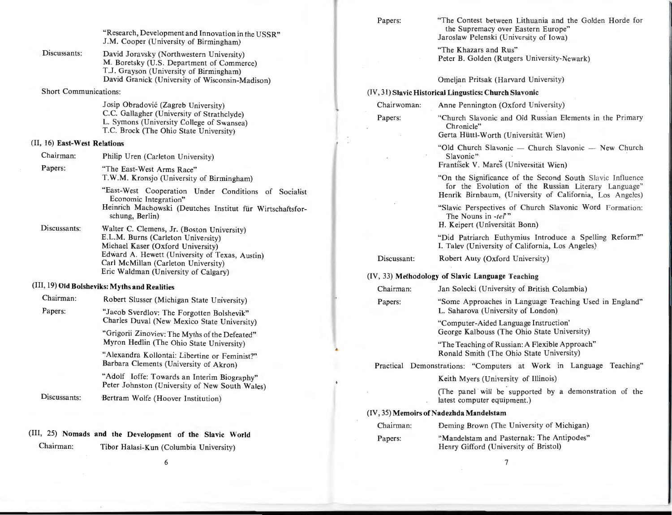"Research, Development and Innovation in the USSR" J.M. Cooper (University of Birmingham)

Discussants: David Joravsky (Northwestern University) M. Boretsky (U.S. Department of Commerce) T.J. Grayson (University of Birmingham) David Granick (University of Wisconsin-Madison)

Short Communications:

Josip Obradovic (Zagreb University) C.C. Gallagher (University of Strathclyde) L. Symons (University College of Swansea) T.C. Brock (The Ohio State University)

#### (II, 16) East-West Relations

| Chairman:    | Philip Uren (Carleton University)                                                                                                                                                                                                                      |
|--------------|--------------------------------------------------------------------------------------------------------------------------------------------------------------------------------------------------------------------------------------------------------|
| Papers:      | "The East-West Arms Race"<br>T.W.M. Kronsjo (University of Birmingham)                                                                                                                                                                                 |
|              | "East-West Cooperation Under Conditions of Socialist<br>Economic Integration"<br>Heinrich Machowski (Deutches Institut für Wirtschaftsfor-<br>schung, Berlin)                                                                                          |
| Discussants: | Walter C. Clemens, Jr. (Boston University)<br>E.L.M. Burns (Carleton University)<br>Michael Kaser (Oxford University)<br>Edward A. Hewett (University of Texas, Austin)<br>Carl McMillan (Carleton University)<br>Eric Waldman (University of Calgary) |
|              | (III, 19) Old Bolsheviks: Myths and Realities                                                                                                                                                                                                          |
| $-1$         |                                                                                                                                                                                                                                                        |

| Chairman:    | Robert Slusser (Michigan State University)                                                    |  |
|--------------|-----------------------------------------------------------------------------------------------|--|
| Papers:      | "Jacob Sverdlov: The Forgotten Bolshevik"<br>Charles Duval (New Mexico State University)      |  |
|              | "Grigorii Zinoviev: The Myths of the Defeated"<br>Myron Hedlin (The Ohio State University)    |  |
|              | "Alexandra Kollontai: Libertine or Feminist?"<br>Barbara Clements (University of Akron)       |  |
|              | "Adolf Ioffe: Towards an Interim Biography"<br>Peter Johnston (University of New South Wales) |  |
| Discussants: | Bertram Wolfe (Hoover Institution)                                                            |  |

#### (III, 25) Nomads and the Development of the Slavic World

Chairman: Tibor Halasi-Kun (Columbia University)

Papers: "The Contest between Lithuania and the Golden Horde for the Supremacy over Eastern Europe" Jaroslaw Pelenski (University of Iowa)

> "The Khazars and Rus" Peter B. Golden (Rutgers University-Newark)

Omeljan Pritsak (Harvard University)

#### (IV, 31) Slavic Historical Lingustics: Church Slavonic

Chairwoman:

Papers:

Anne Pennington (Oxford University)

"Church Slavonic and Old Russian Elements in the Primary Chronicle"

Gerta Hüttl-Worth (Universität Wien)

"Old Church Slavonic  $-$  Church Slavonic  $-$  New Church Slavonic"

František V. Mareš (Universität Wien)

"On the Significance of the Second South Slavic Influence for the Evolution of the Russian Literary Language" Henrik Birnbaum, (University of California, Los Angeles)

"Slavic Perspectives of Church Slavonic Word Formation: The Nouns in *-tef"* 

H. Keipert (Universitat Bonn)

"Did Patriarch Euthymius Introduce a Spelling Reform?" I. Talev (University of California, Los Angeles)

Discussant: Robert Auty (Oxford University)

#### (IV, 33) Methodology of Slavic Language Teaching

| Chairman: | Jan Solecki (University of British Columbia) |  |  |
|-----------|----------------------------------------------|--|--|
|-----------|----------------------------------------------|--|--|

Papers: "Some Approaches in Language Teaching Used in England"

L. Saharova (University of London)

"Computer-Aided Language Instruction' George Kalbouss (The Ohio State University)

"The Teaching of Russian: A Flexible Approach" Ronald Smith (The Ohio State University)

Practical Demonstrations: "Computers at Work in Language Teaching"

Keith Myers (University of Illinois)

(The panel will be supported by a demonstration of the latest computer equipment.)

#### (IV, 35) Memoirs of Nadezhda Mandelstam

| Chairman: | Deming Brown (The University of Michigan) |
|-----------|-------------------------------------------|
| Papers:   | "Mandelstam and Pasternak: The Antipodes" |

Henry Gifford (University of Bristol)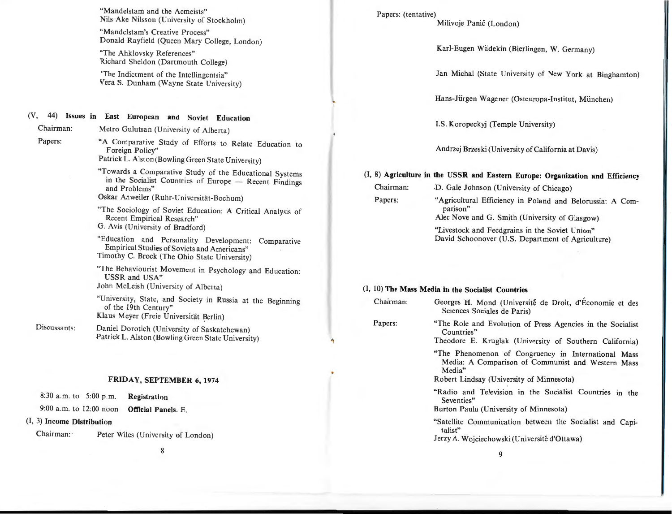"Mandelstam and the Acmeists" Nils Ake Nilsson (University of Stockholm)

"Mandelstam's Creative Process" Donald Rayfield (Queen Mary College, London)

"The Ahklovsky References" Richard Sheldon (Dartmouth College)

'The Indictment of the Intellingentsia" Vera S. Dunham (Wayne State University)

### (V, 44) Issues in East European and Soviet Education

Chairman: Metro Gulutsan (University of Alberta)

Papers:

"A Comparative Study of Efforts to Relate Education to Foreign Policy" Patrick L. Alston (Bowling Green State University)

- "Towards a Comparative Study of the Educational Systems in the Socialist Countries of Europe - Recent Findings and Problems"
- Oskar Anweiler (Ruhr-Universität-Bochum)
- "The Sociology of Soviet Education: A Critical Analysis of Recent Empirical Research" G. Avis (University of Bradford)

"Education and Personality Development: Comparative Empirical Studies of Soviets and Americans" Timothy C. Brock (The Ohio State University)

"The Behaviourist Movement in Psychology and Education: USSR and USA" John McLeish (University of Alberta)

"University, State, and Society in Russia at the Beginning of the 19th Century" Klaus Meyer (Freie Universität Berlin)

Discussants: Daniel Dorotich (University of Saskatchewan) Patrick L. Alston (Bowling Green State University)

#### FRIDAY, SEPTEMBER 6, 1974

8:30 a.m. to 5:00 p.m. Registration

#### 9:00 a.m. to 12:00 noon Official Panels. E.

#### (I, 3) Income Distribution

Chairman: Peter Wiles (University of London)

8

Papers: (tentative)

Milivoje Panic (London)

Karl-Eugen Wadekin (Bierlingen, W. Germany)

Jan Michal (State University of New York at Binghamton)

Hans-Jiirgen Wagener (Osteuropa-Institut, Miinchen)

I.S. Koropeckyj (Temple University)

Andrzej Brzeski (University of California at Davis)

#### (I, 8) Agriculture in the USSR and Eastern Europe: Organization and Efficiency

- Chairman: *D.* Gale Johnson (University of Chicago)
- Papers: "Agricultural Efficiency in Poland and Belorussia: A Comparison" Alec Nove and G. Smith (University of Glasgow)

"Livestock and Feedgrains in the Soviet Union"

David Schoonover (U.S. Department of Agriculture)

#### (I, 10) The Mass Media in the Socialist Countries

| Chairman: | Georges H. Mond (Université de Droit, d'Économie et des<br>Sciences Sociales de Paris)                                                                         |
|-----------|----------------------------------------------------------------------------------------------------------------------------------------------------------------|
| Papers:   | "The Role and Evolution of Press Agencies in the Socialist<br>Countries"<br>Theodore E. Kruglak (University of Southern California)                            |
|           | "The Phenomenon of Congruency in International Mass<br>Media: A Comparison of Communist and Western Mass<br>Media"<br>Robert Lindsay (University of Minnesota) |
|           | "Radio and Television in the Socialist Countries in the<br>Seventies"<br>Burton Paulu (University of Minnesota)                                                |
|           | "Satellite Communication between the Socialist and Capi-<br>talist"<br>Jerzy A. Wojciechowski (Université d'Ottawa)                                            |
|           | 9                                                                                                                                                              |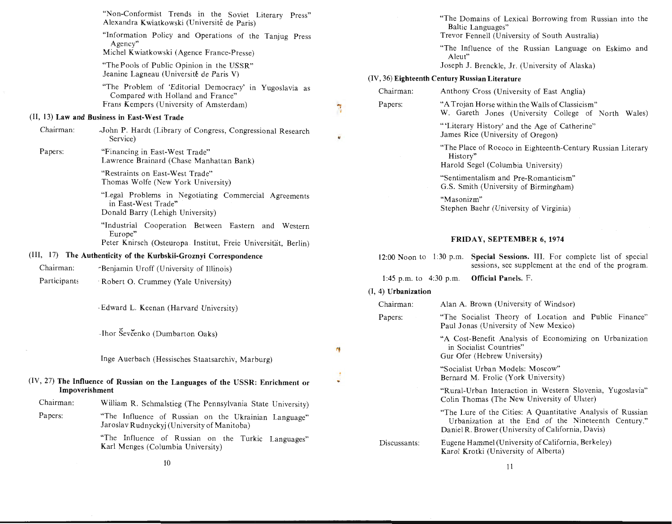|                                                                                                 | "Non-Conformist Trends in the Soviet Literary Press"<br>Alexandra Kwiatkowski (Université de Paris)                             |                                                 |                       | "The Domains of Lexical Borrowing from Russian into the<br>Baltic Languages"                                  |                                                     |
|-------------------------------------------------------------------------------------------------|---------------------------------------------------------------------------------------------------------------------------------|-------------------------------------------------|-----------------------|---------------------------------------------------------------------------------------------------------------|-----------------------------------------------------|
|                                                                                                 | "Information Policy and Operations of the Tanjug Press<br>Agency"                                                               |                                                 |                       | Trevor Fennell (University of South Australia)                                                                |                                                     |
|                                                                                                 | Michel Kwiatkowski (Agence France-Presse)                                                                                       |                                                 |                       | "The Influence of the Russian Language on Eskimo and<br>Aleut"                                                |                                                     |
|                                                                                                 | "The Pools of Public Opinion in the USSR"                                                                                       |                                                 |                       | Joseph J. Brenckle, Jr. (University of Alaska)                                                                |                                                     |
|                                                                                                 | Jeanine Lagneau (Université de Paris V)                                                                                         |                                                 |                       | (IV, 36) Eighteenth Century Russian Literature                                                                |                                                     |
|                                                                                                 | "The Problem of 'Editorial Democracy' in Yugoslavia as<br>Compared with Holland and France"                                     |                                                 | Chairman:             | Anthony Cross (University of East Anglia)                                                                     |                                                     |
|                                                                                                 | Frans Kempers (University of Amsterdam)                                                                                         | ٦                                               | Papers:               | "A Trojan Horse within the Walls of Classicism"<br>W. Gareth Jones (University College of North Wales)        |                                                     |
|                                                                                                 | (II, 13) Law and Business in East-West Trade                                                                                    |                                                 |                       | "'Literary History' and the Age of Catherine"                                                                 |                                                     |
| Chairman:                                                                                       | John P. Hardt (Library of Congress, Congressional Research<br>Service)                                                          | w                                               |                       | James Rice (University of Oregon)                                                                             |                                                     |
| Papers:                                                                                         | "Financing in East-West Trade"<br>Lawrence Brainard (Chase Manhattan Bank)                                                      |                                                 |                       | "The Place of Rococo in Eighteenth-Century Russian Literary<br>History"<br>Harold Segel (Columbia University) |                                                     |
|                                                                                                 | "Restraints on East-West Trade"<br>Thomas Wolfe (New York University)                                                           |                                                 |                       | "Sentimentalism and Pre-Romanticism"<br>G.S. Smith (University of Birmingham)                                 |                                                     |
|                                                                                                 | "Legal Problems in Negotiating Commercial Agreements<br>in East-West Trade"<br>Donald Barry (Lehigh University)                 |                                                 |                       | "Masonizm"<br>Stephen Baehr (University of Virginia)                                                          |                                                     |
|                                                                                                 | "Industrial Cooperation Between Eastern and Western<br>Europe"<br>Peter Knirsch (Osteuropa Institut, Freie Universität, Berlin) |                                                 |                       | FRIDAY, SEPTEMBER 6, 1974                                                                                     |                                                     |
| (III, 17) The Authenticity of the Kurbskii-Groznyi Correspondence                               |                                                                                                                                 |                                                 |                       | 12:00 Noon to 1:30 p.m. Special Sessions. III. For complete list of special                                   |                                                     |
| Chairman:                                                                                       | "Benjamin Uroff (University of Illinois)                                                                                        |                                                 |                       |                                                                                                               | sessions, see supplement at the end of the program. |
| Participants                                                                                    | Robert O. Crummey (Yale University)                                                                                             | Official Panels. F.<br>1:45 p.m. to $4:30$ p.m. |                       |                                                                                                               |                                                     |
|                                                                                                 |                                                                                                                                 |                                                 | $(I, 4)$ Urbanization |                                                                                                               |                                                     |
|                                                                                                 | -Edward L. Keenan (Harvard University)                                                                                          |                                                 | Chairman:             | Alan A. Brown (University of Windsor)                                                                         |                                                     |
|                                                                                                 |                                                                                                                                 |                                                 | Papers:               | "The Socialist Theory of Location and Public Finance"<br>Paul Jonas (University of New Mexico)                |                                                     |
|                                                                                                 | -Ihor Ševčenko (Dumbarton Oaks)                                                                                                 | n                                               |                       | "A Cost-Benefit Analysis of Economizing on Urbanization<br>in Socialist Countries"                            |                                                     |
|                                                                                                 | Inge Auerbach (Hessisches Staatsarchiv, Marburg)                                                                                |                                                 |                       | Gur Ofer (Hebrew University)                                                                                  |                                                     |
|                                                                                                 |                                                                                                                                 | ٠                                               |                       | "Socialist Urban Models: Moscow"<br>Bernard M. Frolic (York University)                                       |                                                     |
| (IV, 27) The Influence of Russian on the Languages of the USSR: Enrichment or<br>Impoverishment |                                                                                                                                 |                                                 |                       | "Rural-Urban Interaction in Western Slovenia, Yugoslavia"<br>Colin Thomas (The New University of Ulster)      |                                                     |
| Chairman:                                                                                       | William R. Schmalstieg (The Pennsylvania State University)                                                                      |                                                 |                       | "The Lure of the Cities: A Quantitative Analysis of Russian                                                   |                                                     |
| Papers:                                                                                         | "The Influence of Russian on the Ukrainian Language"<br>Jaroslav Rudnyckyj (University of Manitoba)                             |                                                 |                       | Daniel R. Brower (University of California, Davis)                                                            | Urbanization at the End of the Nineteenth Century." |
|                                                                                                 | "The Influence of Russian on the Turkic Languages"<br>Karl Menges (Columbia University)                                         |                                                 | Discussants:          | Eugene Hammel (University of California, Berkeley)<br>Karol Krotki (University of Alberta)                    |                                                     |
|                                                                                                 | 10                                                                                                                              |                                                 |                       | 11                                                                                                            |                                                     |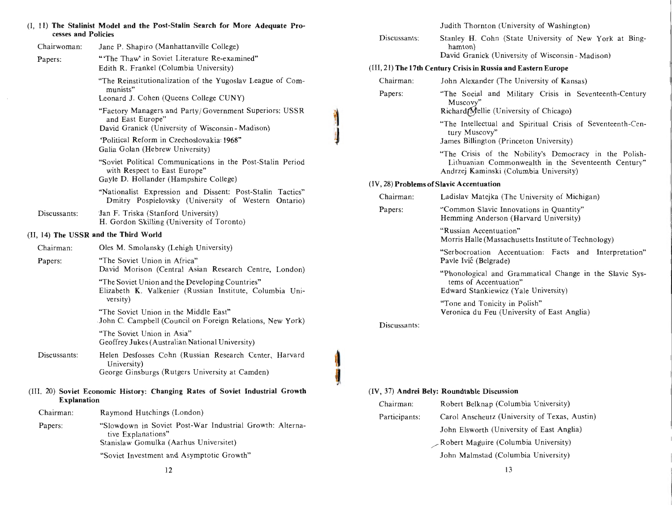| cesses and Policies                   | (I, 11) The Stalinist Model and the Post-Stalin Search for More Adequate Pro-                                                   |                      | Judith Thornton (University of Washington)                                                                                                              |  |  |
|---------------------------------------|---------------------------------------------------------------------------------------------------------------------------------|----------------------|---------------------------------------------------------------------------------------------------------------------------------------------------------|--|--|
| Chairwoman:                           | Jane P. Shapiro (Manhattanville College)                                                                                        | Discussants:         | Stanley H. Cohn (State University of New York at Bing-<br>hamton)<br>David Granick (University of Wisconsin-Madison)                                    |  |  |
| Papers:                               | "The Thaw' in Soviet Literature Re-examined"<br>Edith R. Frankel (Columbia University)                                          |                      | (III, 21) The 17th Century Crisis in Russia and Eastern Europe                                                                                          |  |  |
|                                       |                                                                                                                                 |                      |                                                                                                                                                         |  |  |
|                                       | "The Reinstitutionalization of the Yugoslav League of Com-<br>munists"<br>Leonard J. Cohen (Queens College CUNY)                | Chairman:<br>Papers: | John Alexander (The University of Kansas)<br>"The Social and Military Crisis in Seventeenth-Century<br>Muscovy"                                         |  |  |
|                                       | "Factory Managers and Party/Government Superiors: USSR<br>and East Europe"<br>David Granick (University of Wisconsin - Madison) |                      | RichardfMellie (University of Chicago)<br>"The Intellectual and Spiritual Crisis of Seventeenth-Cen-                                                    |  |  |
|                                       | "Political Reform in Czechoslovakia: 1968"<br>Galia Golan (Hebrew University)                                                   |                      | tury Muscovy"<br>James Billington (Princeton University)                                                                                                |  |  |
|                                       | "Soviet Political Communications in the Post-Stalin Period<br>with Respect to East Europe"                                      |                      | "The Crisis of the Nobility's Democracy in the Polish-<br>Lithuanian Commonwealth in the Seventeenth Century"<br>Andrzej Kaminski (Columbia University) |  |  |
|                                       | Gayle D. Hollander (Hampshire College)                                                                                          |                      | (IV, 28) Problems of Slavic Accentuation                                                                                                                |  |  |
|                                       | "Nationalist Expression and Dissent: Post-Stalin Tactics"<br>Dmitry Pospielovsky (University of Western Ontario)                | Chairman:            | Ladislav Matejka (The University of Michigan)                                                                                                           |  |  |
| Discussants:                          | Jan F. Triska (Stanford University)<br>H. Gordon Skilling (University of Toronto)                                               | Papers:              | "Common Slavic Innovations in Quantity"<br>Hemming Anderson (Harvard University)                                                                        |  |  |
| (II, 14) The USSR and the Third World |                                                                                                                                 |                      | "Russian Accentuation"<br>Morris Halle (Massachusetts Institute of Technology)                                                                          |  |  |
| Chairman:                             | Oles M. Smolansky (Lehigh University)                                                                                           |                      | "Serbocroation Accentuation: Facts and Interpretation"                                                                                                  |  |  |
| Papers:                               | "The Soviet Union in Africa"<br>David Morison (Central Asian Research Centre, London)                                           |                      | Pavle Ivić (Belgrade)                                                                                                                                   |  |  |
|                                       | "The Soviet Union and the Developing Countries"<br>Elizabeth K. Valkenier (Russian Institute, Columbia Uni-                     |                      | "Phonological and Grammatical Change in the Slavic Sys-<br>tems of Accentuation"<br>Edward Stankiewicz (Yale University)                                |  |  |
|                                       | versity)                                                                                                                        |                      | "Tone and Tonicity in Polish"                                                                                                                           |  |  |
|                                       | "The Soviet Union in the Middle East"<br>John C. Campbell (Council on Foreign Relations, New York)                              | Discussants:         | Veronica du Feu (University of East Anglia)                                                                                                             |  |  |
|                                       | "The Soviet Union in Asia"<br>Geoffrey Jukes (Australian National University)                                                   |                      |                                                                                                                                                         |  |  |
| Discussants:                          | Helen Desfosses Cohn (Russian Research Center, Harvard<br>University)<br>George Ginsburgs (Rutgers University at Camden)        |                      |                                                                                                                                                         |  |  |
|                                       | (III, 20) Soviet Economic History: Changing Rates of Soviet Industrial Growth                                                   |                      | (IV, 37) Andrei Bely: Roundtable Discussion                                                                                                             |  |  |
| <b>Explanation</b>                    |                                                                                                                                 | Chairman:            | Robert Belknap (Columbia University)                                                                                                                    |  |  |
| Chairman:                             | Raymond Hutchings (London)                                                                                                      | Participants:        | Carol Anscheutz (University of Texas, Austin)                                                                                                           |  |  |
| Papers:                               | "Slowdown in Soviet Post-War Industrial Growth: Alterna-<br>tive Explanations"                                                  |                      | John Elsworth (University of East Anglia)                                                                                                               |  |  |
|                                       | Stanislaw Gomulka (Aarhus Universitet)                                                                                          |                      | Robert Maguire (Columbia University)                                                                                                                    |  |  |
|                                       | "Soviet Investment and Asymptotic Growth"                                                                                       |                      | John Malmstad (Columbia University)                                                                                                                     |  |  |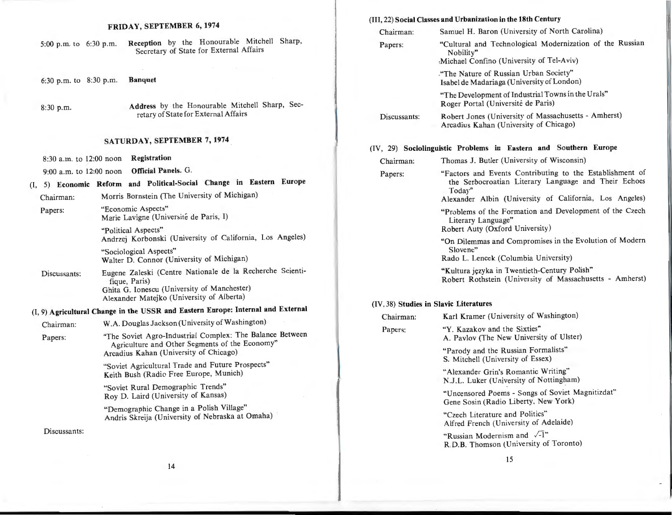#### FRIDAY, SEPTEMBER 6, 1974

| 5:00 p.m. to 6:30 p.m. |  |  | <b>Reception</b> by the Honourable Mitchell Sharp, |  |
|------------------------|--|--|----------------------------------------------------|--|
|                        |  |  | Secretary of State for External Affairs            |  |

6:30 p.m. to 8:30 p.m. Banquet

8:30 p.m. Address by the Honourable Mitchell Sharp, Secretary of State for External Affairs

# SATURDAY, SEPTEMBER 7, 1974

- 8:30 a.m. to 12:00 noon Registration
- 9:00 a.m. to 12:00 noon Official Panels. G.

# (I, S) Economic Reform and Political-Social Change in Eastern Europe

Chairman: Morris Bornstein (The University of Michigan)

Papers: "Economic Aspects" Marie Lavigne (Universite de Paris, I)

> "Political Aspects" Andrzej Korbonski (University of California, Los Angeles)

"Sociological Aspects" Walter D. Connor (University of Michigan)

Discussants: Eugene Zaleski (Centre Nationale de la Recherche Scientifique, Paris) Ghita G. Ionescu (University of Manchester) Alexander Matejko (University of Alberta)

# (I, 9) Agricultural Change in the USSR and Eastern Europe: Internal and External

| Chairman: | W.A. Douglas Jackson (University of Washington)                                                                                                      |
|-----------|------------------------------------------------------------------------------------------------------------------------------------------------------|
| Papers:   | "The Soviet Agro-Industrial Complex: The Balance Between<br>Agriculture and Other Segments of the Economy"<br>Arcadius Kahan (University of Chicago) |
|           | "Soviet Agricultural Trade and Future Prospects"<br>Keith Bush (Radio Free Europe, Munich)                                                           |
|           | "Soviet Rural Demographic Trends"<br>Roy D. Laird (University of Kansas)                                                                             |
|           | "Demographic Change in a Polish Village"<br>Andris Skreija (University of Nebraska at Omaha)                                                         |
|           |                                                                                                                                                      |

#### Discussants:

#### (III, 22) Social Classes and Urbanization in the 18th Century

| Chairman:    | Samuel H. Baron (University of North Carolina)                                                                             |
|--------------|----------------------------------------------------------------------------------------------------------------------------|
| Papers:      | "Cultural and Technological Modernization of the Russian<br>Nobility"<br>Michael Confino (University of Tel-Aviv)          |
|              | "The Nature of Russian Urban Society"<br>Isabel de Madariaga (University of London)                                        |
|              | "The Development of Industrial Towns in the Urals"<br>Roger Portal (Université de Paris)                                   |
| Discussants: | Robert Jones (University of Massachusetts - Amherst)<br>Arcadius Kahan (University of Chicago)                             |
|              | (IV, 29) Sociolinguistic Problems in Eastern and Southern Europe                                                           |
| Chairman:    | Thomas J. Butler (University of Wisconsin)                                                                                 |
| Papers:      | "Factors and Events Contributing to the Establishment of<br>the Serbocroatian Literary Language and Their Echoes<br>Today" |
|              | Alexander Albin (University of California, Los Angeles)                                                                    |
|              | "Problems of the Formation and Development of the Czech<br>Literary Language"<br>Robert Auty (Oxford University)           |
|              | "On Dilemmas and Compromises in the Evolution of Modern<br>Slovene"                                                        |
|              | Rado L. Lencek (Columbia University)                                                                                       |
|              | "Kultura języka in Twentieth-Century Polish"<br>Robert Rothstein (University of Massachusetts - Amherst)                   |

#### (IV, 38) Studies in Slavic Literatures

| Chairman: | Karl Kramer (University of Washington)                                                   |
|-----------|------------------------------------------------------------------------------------------|
| Papers:   | "Y. Kazakov and the Sixties"<br>A. Pavlov (The New University of Ulster)                 |
|           | "Parody and the Russian Formalists"<br>S. Mitchell (University of Essex)                 |
|           | "Alexander Grin's Romantic Writing"<br>N.J.L. Luker (University of Nottingham)           |
|           | "Uncensored Poems - Songs of Soviet Magnitizdat"<br>Gene Sosin (Radio Liberty, New York) |
|           | "Czech Literature and Politics"<br>Alfred French (University of Adelaide)                |

"Russian Modernism and  $\sqrt{-1}$ " R.D.B. Thomson (University of Toronto)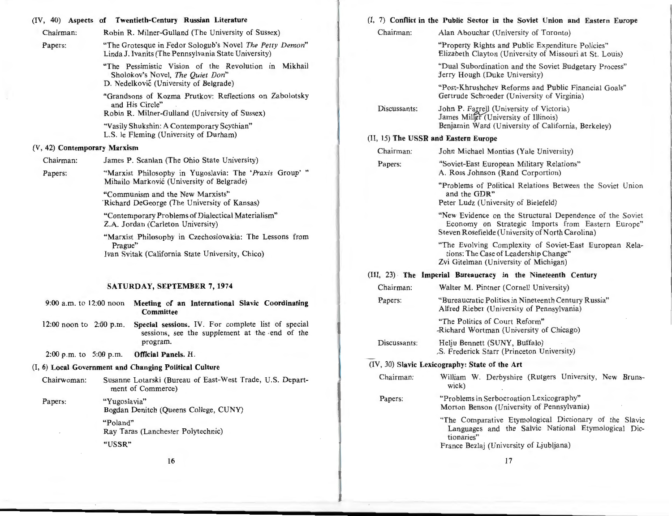#### (IV, 40) Aspects of Twentieth-Century Russian Literature

| Chairman:                    |         | Robin R. Milner-Gulland (The University of Sussex)                                                                                 |  |
|------------------------------|---------|------------------------------------------------------------------------------------------------------------------------------------|--|
| Papers:                      |         | "The Grotesque in Fedor Sologub's Novel The Petty Demon"<br>Linda J. Ivanits (The Pennsylvania State University)                   |  |
|                              |         | "The Pessimistic Vision of the Revolution in Mikhail<br>Sholokov's Novel, The Quiet Don"<br>D. Nedelković (University of Belgrade) |  |
|                              |         | "Grandsons of Kozma Prutkov: Reflections on Zabolotsky<br>and His Circle"<br>Robin R. Milner-Gulland (University of Sussex)        |  |
|                              |         | "Vasily Shukshin: A Contemporary Scythian"<br>L.S. le Fleming (University of Durham)                                               |  |
| (V, 42) Contemporary Marxism |         |                                                                                                                                    |  |
| Chairman:                    |         | James P. Scanlan (The Ohio State University)                                                                                       |  |
| Papers:                      |         | "Marxist Philosophy in Yugoslavia: The 'Praxis Group'"<br>Mihailo Marković (University of Belgrade)                                |  |
|                              |         | "Communism and the New Marxists"<br>'Richard DeGeorge (The University of Kansas)                                                   |  |
|                              |         | "Contemporary Problems of Dialectical Materialism"<br>Z.A. Jordan (Carleton University)                                            |  |
|                              | Prague" | "Marxist Philosophy in Czechoslovakia: The Lessons from<br>Ivan Svitak (California State University, Chico)                        |  |
|                              |         | <b>SATURDAY, SEPTEMBER 7, 1974</b>                                                                                                 |  |
|                              |         |                                                                                                                                    |  |
| 9:00 a.m. to 12:00 noon      |         | Meeting of an International Slavic Coordinating<br>Committee                                                                       |  |
| 12:00 noon to 2:00 p.m.      |         | Special sessions. IV. For complete list of special<br>sessions, see the supplement at the end of the<br>program.                   |  |
| 2:00 p.m. to $5:00$ p.m.     |         | Official Panels. H.                                                                                                                |  |
|                              |         | (I, 6) Local Government and Changing Political Culture                                                                             |  |
| Chairwoman:                  |         | Susanne Lotarski (Bureau of East-West Trade, U.S. Depart-<br>ment of Commerce)                                                     |  |

|              | (I, 7) Conflict in the Public Sector in the Soviet Union and Eastern Europe                                                                                            |
|--------------|------------------------------------------------------------------------------------------------------------------------------------------------------------------------|
| Chairman:    | Alan Abouchar (University of Toronto)                                                                                                                                  |
|              | "Property Rights and Public Expenditure Policies"<br>Elizabeth Clayton (University of Missouri at St. Louis)                                                           |
|              | "Dual Subordination and the Soviet Budgetary Process"<br>Jerry Hough (Duke University)                                                                                 |
|              | "Post-Khrushchev Reforms and Public Financial Goals"<br>Gertrude Schroeder (University of Virginia)                                                                    |
| Discussants: | John P. Farrell (University of Victoria)<br>James Miller (University of Illinois)<br>Benjamin Ward (University of California, Berkeley)                                |
|              | (II, 15) The USSR and Eastern Europe                                                                                                                                   |
| Chairman:    | John Michael Montias (Yale University)                                                                                                                                 |
| Papers:      | "Soviet-East European Military Relations"<br>A. Ross Johnson (Rand Corportion)                                                                                         |
|              | "Problems of Political Relations Between the Soviet Union"<br>and the GDR"<br>Peter Ludz (University of Bielefeld)                                                     |
|              | "New Evidence on the Structural Dependence of the Soviet<br>Economy on Strategic Imports from Eastern Europe"<br>Steven Rosefielde (University of North Carolina)      |
|              | "The Evolving Complexity of Soviet-East European Rela-<br>tions: The Case of Leadership Change"<br>Zvi Gitelman (University of Michigan)                               |
|              | (III, 23) The Imperial Bureaucracy in the Nineteenth Century                                                                                                           |
| Chairman:    | Walter M. Pintner (Cornell University)                                                                                                                                 |
| Papers:      | "Bureaucratic Politics in Nineteenth Century Russia"<br>Alfred Rieber (University of Pennsylvania)                                                                     |
|              | "The Politics of Court Reform"<br>-Richard Wortman (University of Chicago)                                                                                             |
| Discussants: | Helju Bennett (SUNY, Buffalo)<br>.S. Frederick Starr (Princeton University)                                                                                            |
|              | (IV, 30) Slavic Lexicography: State of the Art                                                                                                                         |
| Chairman:    | William W. Derbyshire (Rutgers University, New Bruns-<br>wick)                                                                                                         |
| Papers:      | "Problems in Serbocroation Lexicography"<br>Morton Benson (University of Pennsylvania)                                                                                 |
|              | "The Comparative Etymological Dictionary of the Slavic<br>Languages and the Salvic National Etymological Dic-<br>tionaries"<br>France Bezlaj (University of Ljubljana) |

16

Ray Taras (Lanchester Polytechnic)

Bogdan Denitch (Queens College, CUNY)

"Yugoslavia"

"Poland"

"USSR"

Papers:

17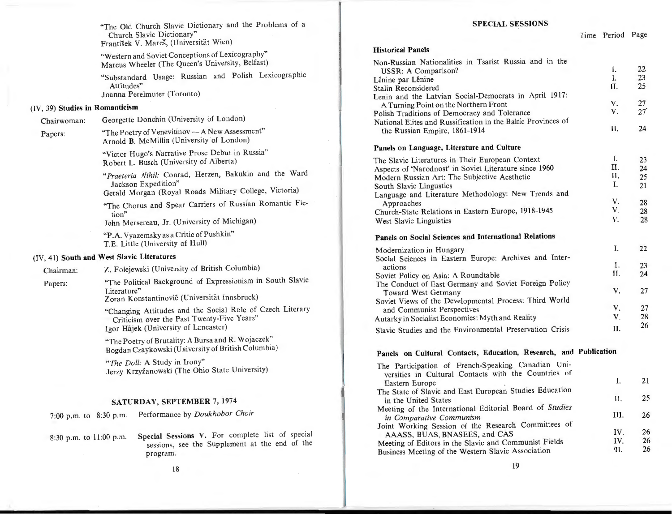"The Old Church Slavic Dictionary and the Problems of a Church Slavic Dictionary" Frantisek V. Mares, (Universitat Wien)

"Western and Soviet Conceptions of Lexicography" Marcus Wheeler (The Queen's University, Belfast)

"Substandard Usage: Russian and Polish Lexicographic Attitudes" Joanna Perelmuter (Toronto)

#### (IV, 39) Studies in Romanticism

Chairwoman: Georgette Donchin (University of London)

Papers: "The Poetry of Venevitinov - A New Assessment" Arnold B. McMillin (University of London)

> "Victor Hugo's Narrative Prose Debut in Russia" Robert L. Busch (University of Alberta)

*"Praeteria Nihil:* Conrad, Herzen, Bakukin and the Ward Jackson Expedition"

Gerald Morgan (Royal Roads Military College, Victoria)

"The Chorus and Spear Carriers of Russian Romantic Fiction" John Mersereau, Jr. (University of Michigan)

"P.A. Vyazemsky as a Critic of Pushkin" T.E. Little (University of Hull)

# (IV, 41) South and West Slavic Literatures

Chairman: Z. Folejewski (University of British Columbia)

Papers: "The Political Background of Expressionism in South Slavic Literature" Zoran Konstantinovic (Universitat Innsbruck)

"Changing Attitudes and the Social Role of Czech Literary Criticism over the Past Twenty-Five Years" Igor Hajek (University of Lancaster)

"The Poetry of Brutality: A Bursa and R. Wojaczek" Bogdan Czaykowski (University of British Columbia)

*"The Doll:* A Study in Irony" Jerzy Krzyźanowski (The Ohio State University)

#### SATURDAY, SEPTEMBER 7, 1974

7:00 p.m. to 8:30 p.m. Performance by *Doukhobor Choir* 

8:30 p.m. to 11:00 p.m. Special Sessions V. For complete list of special sessions, see the Supplement at the end of the program.

#### SPECIAL SESSIONS

Time Period Page

III. 26

IV. 26<br>IV. 26 IV. 26<br>
II. 26 **11.** 

| <b>Historical Panels</b>                                                      |          |            |
|-------------------------------------------------------------------------------|----------|------------|
| Non-Russian Nationalities in Tsarist Russia and in the<br>USSR: A Comparison? | I.<br>I. | 22<br>23   |
| Lénine par Lénine                                                             | II.      | 25         |
| Stalin Reconsidered                                                           |          |            |
| Lenin and the Latvian Social-Democrats in April 1917:                         | V.       | 27         |
| A Turning Point on the Northern Front                                         | V.       | $27^\circ$ |
| Polish Traditions of Democracy and Tolerance                                  |          |            |
| National Elites and Russification in the Baltic Provinces of                  | Н.       | 24         |
| the Russian Empire, 1861-1914                                                 |          |            |
| Panels on Language, Literature and Culture                                    |          |            |
| The Slavic Literatures in Their European Context                              | I.       | 23         |
| Aspects of 'Narodnost' in Soviet Literature since 1960                        | Н.       | 24         |
| Modern Russian Art: The Subjective Aesthetic                                  | Η.       | 25         |
| South Slavic Lingustics                                                       | L.       | 21         |
| Language and Literature Methodology: New Trends and                           |          |            |
| Approaches                                                                    | V.       | 28         |
| Church-State Relations in Eastern Europe, 1918-1945                           | V.       | 28         |
| West Slavic Linguistics                                                       | V.       | 28         |
| Panels on Social Sciences and International Relations                         |          |            |
| Modernization in Hungary                                                      | I.       | 22         |
| Social Sciences in Eastern Europe: Archives and Inter-                        |          |            |
| actions                                                                       | Ι.       | 23         |
| Soviet Policy on Asia: A Roundtable                                           | II.      | 24         |
| The Conduct of East Germany and Soviet Foreign Policy                         |          |            |
| Toward West Germany                                                           | V.       | 27         |
| Soviet Views of the Developmental Process: Third World                        |          |            |
| and Communist Perspectives                                                    | V.       | 27         |
| Autarky in Socialist Economies: Myth and Reality                              | V.       | 28         |
| Slavic Studies and the Environmental Preservation Crisis                      | Н.       | 26         |
|                                                                               |          |            |
| Panels on Cultural Contacts, Education, Research, and Publication             |          |            |
|                                                                               |          |            |
| The Participation of French-Speaking Canadian Uni-                            |          |            |
| versities in Cultural Contacts with the Countries of                          | I.       | 21         |
| Eastern Europe                                                                |          |            |
| The State of Slavic and East European Studies Education                       | II.      | 25         |
| in the United States                                                          |          |            |

Meeting of the International Editorial Board of *Studies* 

Joint Working Session of the Research Committees of

Meeting of Editors in the Slavic and Communist Fields Business Meeting of the Western Slavic Association

*in Comparative Communism* 

AAASS, BUAS, BNASEES, and CAS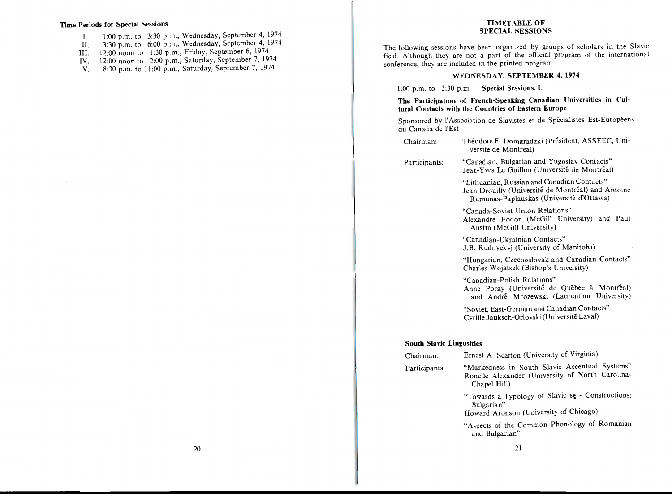#### Time Periods for Special Sessions

- I. 1:00 p.m. to 3:30 p.m., Wednesday, September 4, 1974
- II. 3:30 p.m. to 6:00 p.m., Wednesday, September 4, 1974
- III. 12:00 noon to 1:30 p.m., Friday, September 6, 1974
- IV. 12:00 noon to 2:00 p.m., Saturday, September 7, 1974
- V. 8:30 p.m. to 11:00 p.m., Saturday, September 7, 1974

#### TIMETABLE OF SPECIAL SESSIONS

The following sessions have been organized by groups of scholars in the Slavic field. Although they are not a part of the official program of the international conference, they are included in the printed program.

#### WEDNESDAY, SEPTEMBER 4, 1974

l :00 p.m. to 3:30 p.m. Special Sessions. I.

#### The Participation of French-Speaking Canadian Universities in Cultural Contacts with the Countries of Eastern Europe

Sponsored by l'Association de Slavistes et de Spécialistes Est-Européens du Canada de !'Est

| Chairman:                       | Théodore F. Domaradzki (Président, ASSEEC, Uni-<br>versite de Montreal)                                                                       |
|---------------------------------|-----------------------------------------------------------------------------------------------------------------------------------------------|
| Participants:                   | "Canadian, Bulgarian and Yugoslav Contacts"<br>Jean-Yves Le Guillou (Université de Montréal)                                                  |
|                                 | "Lithuanian, Russian and Canadian Contacts"<br>Jean Drouilly (Université de Montréal) and Antoine<br>Ramunas-Paplauskas (Université d'Ottawa) |
|                                 | "Canada-Soviet Union Relations"<br>Alexandre Fodor (McGill University) and Paul<br>Austin (McGill University)                                 |
|                                 | "Canadian-Ukrainian Contacts"<br>J.B. Rudnyckyj (University of Manitoba)                                                                      |
|                                 | "Hungarian, Czechoslovak and Canadian Contacts"<br>Charles Wojatsek (Bishop's University)                                                     |
|                                 | "Canadian-Polish Relations"<br>Anne Poray (Université de Québec à Montreal)<br>and André Mrozewski (Laurentian University)                    |
|                                 | "Soviet, East-German and Canadian Contacts"<br>Cyrille Jauksch-Orlovski (Université Laval)                                                    |
| <b>South Slavic Lingusitics</b> |                                                                                                                                               |
| Chairman:                       | Ernest A. Scatton (University of Virginia)                                                                                                    |
| Participants:                   | "Markedness in South Slavic Accentual Systems"<br>Ronelle Alexander (University of North Carolina-<br>Chapel Hill)                            |
|                                 | "Towards a Typology of Slavic se - Constructions:<br>Bulgarian"<br>Howard Aronson (University of Chicago)                                     |
|                                 | "Aspects of the Common Phonology of Romanian                                                                                                  |

and Bulgarian"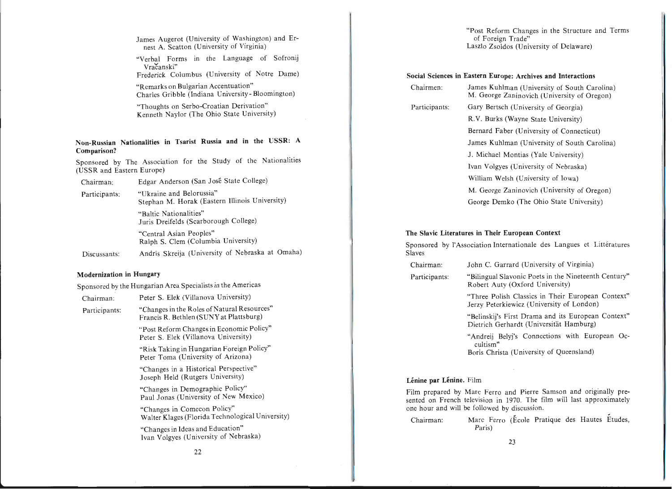James Augerot (University of Washington) and Ernest A. Scatton (University of Virginia)

"Verbal Forms in the Language of Sofronij Vračanski" Frederick Columbus (University of Notre Dame)

"Remarks on Bulgarian Accentuation" Charles Gribble (Indiana University - Bloomington)

"Thoughts on Serbo-Croatian Derivation" Kenneth Naylor (The Ohio State University)

#### **Non-Russian Nationalities in Tsarist Russia and in the USSR: A Comparison?**

Sponsored by The Association for the Study of the Nationalities (USSR and Eastern Europe)

Chairman: Edgar Anderson (San Jose State College)

"Ukraine and Belorussia" Stephan M. Horak (Eastern Illinois University) Participants:

> "Baltic Nationalities" Juris Dreifelds (Scarborough College)

"Central Asian Peoples" Ralph S. Clem (Columbia University)

Discussants: Andris Skreija (University of Nebraska at Omaha)

#### **Modernization in Hungary**

Sponsored by the Hungarian Area Specialists in the Americas

| Chairman:     | Peter S. Elek (Villanova University)                                                   |
|---------------|----------------------------------------------------------------------------------------|
| Participants: | "Changes in the Roles of Natural Resources"<br>Francis R. Bethlen (SUNY at Plattsburg) |
|               | "Post Reform Changes in Economic Policy"<br>Peter S. Elek (Villanova University)       |
|               | "Risk Taking in Hungarian Foreign Policy"<br>Peter Toma (University of Arizona)        |
|               | "Changes in a Historical Perspective"<br>Joseph Held (Rutgers University)              |
|               | "Changes in Demographic Policy"<br>Paul Jonas (University of New Mexico)               |
|               | "Changes in Comecon Policy"<br>Walter Klages (Florida Technological University)        |
|               | "Changes in Ideas and Education"<br>Ivan Volgyes (University of Nebraska)              |
|               |                                                                                        |

"Post Reform Changes in the Structure and Terms of Foreign Trade" Laszlo Zsoldos (University of Delaware)

#### **Social Sciences in Eastern Europe: Archives and Interactions**

| Chairmen:     | James Kuhlman (University of South Carolina)<br>M. George Zaninovich (University of Oregon) |
|---------------|---------------------------------------------------------------------------------------------|
| Participants: | Gary Bertsch (University of Georgia)                                                        |
|               | R.V. Burks (Wayne State University)                                                         |
|               | Bernard Faber (University of Connecticut)                                                   |
|               | James Kuhlman (University of South Carolina)                                                |
|               | J. Michael Montias (Yale University)                                                        |
|               | Ivan Volgyes (University of Nebraska)                                                       |
|               | William Welsh (University of Iowa)                                                          |
|               | M. George Zaninovich (University of Oregon)                                                 |
|               | George Demko (The Ohio State University)                                                    |

#### **The Slavic Literatures in Their European Context**

Sponsored by l'Association Internationale des Langues et Littératures Slaves

- Chairman: John C. Garrard (University of Virginia)
- Participants: "Bilingual Slavonic Poets in the Nineteenth Century" Robert Auty (Oxford University)

"Three Polish Classics in Their European Context" Jerzy Peterkiewicz (University of London)

"Belinskij's First Drama and its European Context" Dietrich Gerhardt (Universität Hamburg)

"Andreij Belyj's Connections with European Occultism"

Boris Christa (University of Queensland)

#### Lénine par Lénine. Film

Film prepared by Marc Ferro and Pierre Samson and originally presented on French television in 1970. The film will last approximately one hour and will be followed by discussion.

Chairman: Marc Ferro (Ecole Pratique des Hautes Etudes, Paris)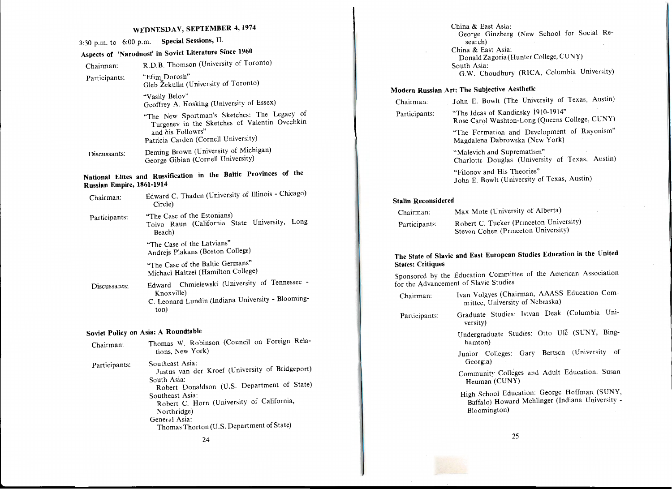# WEDNESDAY, SEPTEMBER 4, 1974

# 3:30 p.m. to 6:00 p.m. Special Sessions, II.

# Aspects of 'Narodnost' in Soviet Literature Since 1960

| Chairman:     | R.D.B. Thomson (University of Toronto)                |
|---------------|-------------------------------------------------------|
| Participants: | "Efim Dorosh"<br>Gleb Žekulin (University of Toronto) |
|               |                                                       |

"Vasily Belov" Geoffrey A. Hosking (University of Essex)

"The New Sportman's Sketches: The Legacy of Turgenev in the Sketches of Valentin Ovechkin and his Followrs" Patricia Carden (Cornell University)

Discussants: Deming Brown (University of Michigan) George Gibian (Cornell University)

# National Elites and Russification in the Baltic Provinces of the Russian Empire, 1861-1914

| Chairman:     | Edward C. Thaden (University of Illinois - Chicago)<br>Circle)                                                              |
|---------------|-----------------------------------------------------------------------------------------------------------------------------|
| Participants: | "The Case of the Estonians)<br>Toivo Raun (California State University, Long<br>Beach)                                      |
|               | "The Case of the Latvians"<br>Andrejs Plakans (Boston College)                                                              |
|               | "The Case of the Baltic Germans"<br>Michael Haltzel (Hamilton College)                                                      |
| Discussants:  | Chmielewski (University of Tennessee -<br>Edward<br>Knoxville)<br>C. Leonard Lundin (Indiana University - Blooming-<br>ton) |

# Soviet Policy on Asia: A Roundtable

| Chairman:     | Thomas W. Robinson (Council on Foreign Rela-<br>tions, New York)                                                                                                                                                                                                              |
|---------------|-------------------------------------------------------------------------------------------------------------------------------------------------------------------------------------------------------------------------------------------------------------------------------|
| Participants: | Southeast Asia:<br>Justus van der Kroef (University of Bridgeport)<br>South Asia:<br>Robert Donaldson (U.S. Department of State)<br>Southeast Asia:<br>Robert C. Horn (University of California,<br>Northridge)<br>General Asia:<br>Thomas Thorton (U.S. Department of State) |

 $\mathbf{r}$ 

24

China & East Asia: George Ginzberg (New School for Social Research) China & East Asia: Donald Zagoria(Hunter College, CUNY) South Asia:  $\frac{1}{2}$   $\frac{1}{2}$   $\frac{1}{2}$   $\frac{1}{2}$   $\frac{1}{2}$   $\frac{1}{2}$   $\frac{1}{2}$   $\frac{1}{2}$   $\frac{1}{2}$   $\frac{1}{2}$   $\frac{1}{2}$   $\frac{1}{2}$   $\frac{1}{2}$   $\frac{1}{2}$   $\frac{1}{2}$   $\frac{1}{2}$   $\frac{1}{2}$   $\frac{1}{2}$   $\frac{1}{2}$   $\frac{1}{2}$   $\frac{1}{2}$  G.W. Choudhury (RICA, Columbia University)

# Modern Russian Art: The Subjective Aesthetic

| Chairman: |  |
|-----------|--|
|-----------|--|

John E. Bowlt (The University of Texas, Austin)

Participants: "The Ideas of Kandinsky i910-1914" Rose Carol Washton-Long (Queens College, CUNY)

> "The Formation and Development of Rayonism" Magdalena Dabrowska (New York)

"Malevich and Suprematism" Charlotte Douglas (University of Texas, Austin)

"Filonov and His Theories" John E. Bowlt (University of Texas, Austin)

#### ' Stalin Reconsidered

| Chairman:     | Max Mote (University of Alberta)                                               |
|---------------|--------------------------------------------------------------------------------|
| Participants. | Robert C. Tucker (Princeton University)<br>Steven Cohen (Princeton University) |

## The State of Slavic and East European Studies Education in the United States: Critiques

Sponsored by the Education Committee of the American Association for the Advancement of Slavic Studies

| Chairman:     | Ivan Volgyes (Chairman, AAASS Education Com-<br>mittee, University of Nebraska)                                 |
|---------------|-----------------------------------------------------------------------------------------------------------------|
| Participants: | Graduate Studies: Istvan Deak (Columbia Uni-<br>versity)                                                        |
|               | Undergraduate Studies: Otto Ulc (SUNY, Bing-<br>hamton)                                                         |
|               | Junior Colleges: Gary Bertsch (University of<br>Georgia)                                                        |
|               | Community Colleges and Adult Education: Susan<br>Heuman (CUNY)                                                  |
|               | High School Education: George Hoffman (SUNY,<br>Buffalo) Howard Mehlinger (Indiana University -<br>Bloomington) |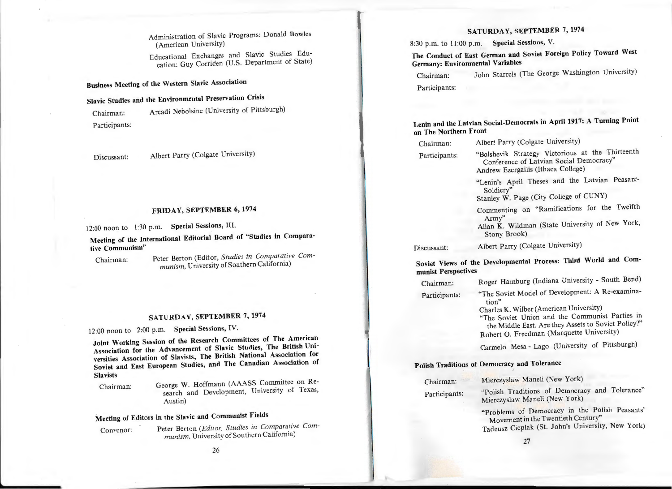Administration of Slavic Programs: Donald Bowles (American University)

Educational Exchanges and Slavic Studies Education: Guy Corriden (U.S. Department of State)

Business Meeting of the Western Slavic Association

# Slavic Studies and the Environmental Preservation Crisis

Chairman: Arcadi Nebolsine (University of Pittsburgh) Participants:

Discussant: Albert Parry (Colgate University)

# FRIDAY, SEPTEMBER 6, 1974

12:00 noon to 1:30 p.m. Special Sessions, Ill.

Meeting of the International Editorial Board of "Studies in Comparative Communism"

Chairman: Peter Berton (Editor, Studies in Comparative Communism, University of Southern California)

# SATURDAY, SEPTEMBER 7, 1974

12:00 noon to 2:00 p.m. Special Sessions, IV.

Joint Working Session of the Research Committees of The American Association for the Advancement of Slavic Studies, The British Universities Association of Slavists, The British National Association for Soviet and East European Studies, and The Canadian Association of **Slavists** 

Chairman: George W. Hoffmann (AAASS Committee on Research and Development, University of Texas, Austin)

# Meeting of Editors in the Slavic and Communist Fields

Convenor: Peter Berton (Editor, Studies in Comparative Communism, University of Southern California)

# SATURDAY, SEPTEMBER 7, 1974

8:30 p.m. to 11:00 p.m. Special Sessions, V.

The Conduct of East German and Soviet Foreign Policy Toward West Germany: Environmental Variables

Chairman: John Starrels (The George Washington University) Participants:

Lenin and the Latvian Social-Democrats in April 1917: A Turning Point on The Northern Front

| Chairman:     | Albert Parry (Colgate University)                                                                                                 |
|---------------|-----------------------------------------------------------------------------------------------------------------------------------|
| Participants: | "Bolshevik Strategy Victorious at the Thirteenth<br>Conference of Latvian Social Democracy"<br>Andrew Ezergailis (Ithaca College) |
|               | "Lenin's April Theses and the Latvian Peasant-<br>Soldiery"<br>Stanley W. Page (City College of CUNY)                             |
|               | Commenting on "Ramifications for the Twelfth<br>Army"<br>Allan K. Wildman (State University of New York,<br>Stony Brook)          |
| Discussant:   | Albert Parry (Colgate University)                                                                                                 |

Soviet Views of the Developmental Process: Third World and Communist Perspectives

| Chairman:     | Roger Hamburg (Indiana University - South Bend)                                                       |
|---------------|-------------------------------------------------------------------------------------------------------|
| Participants: | "The Soviet Model of Development: A Re-examina-                                                       |
|               | tion"                                                                                                 |
|               | Charles K. Wilber (American University)                                                               |
|               | "The Soviet Union and the Communist Parties in<br>1. M. 1.1. Treat Age thou Agents to Soviet Policy?" |
|               |                                                                                                       |

the Middle East. Are they Assets to Soviet Policy?" Robert O. Freedman (Marquette University)

Carmelo Mesa - Lago (University of Pittsburgh)

# Polish Traditions of Democracy and Tolerance

| Chairman:     | Mierczyslaw Maneli (New York)                                                   |
|---------------|---------------------------------------------------------------------------------|
| Participants: | "Polish Traditions of Democracy and Tolerance"<br>Mierczyslaw Maneli (New York) |
|               | "Problem: of Democracy in the Polish Peasants"                                  |

Movement in the Twentieth Century" Tadeusz Cieplak (St. John's University, New York)